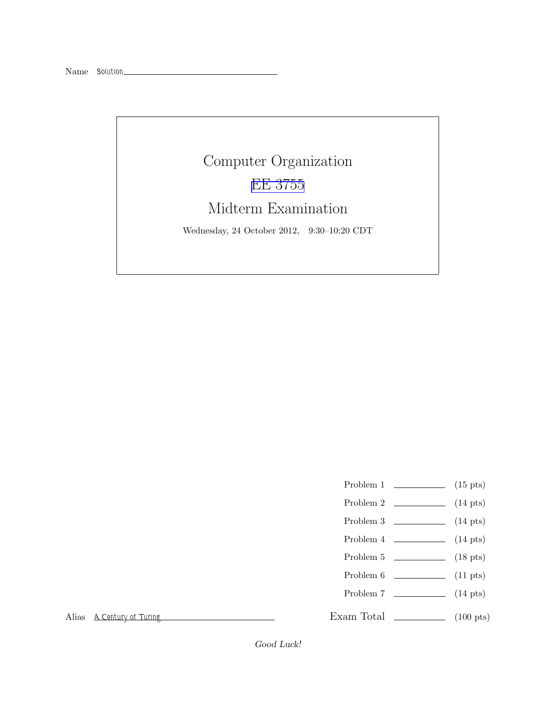## Computer Organization [EE 3755](http://www.ece.lsu.edu/ee3755/) Midterm Examination Wednesday, 24 October 2012, 9:30–10:20 CDT

- Problem 1  $\qquad \qquad$  (15 pts)
- Problem 2  $\qquad \qquad$  (14 pts)
- Problem 3  $\qquad \qquad (14 \text{ pts})$
- Problem 4 (14 pts)
- Problem 5 (18 pts)
- Problem  $6 \t\t(11 \text{ pts})$
- Problem 7 (14 pts)
- 

Exam Total \_\_\_\_\_\_\_\_\_\_\_\_\_\_ (100 pts)

Alias *A Century of Turing*

Good Luck!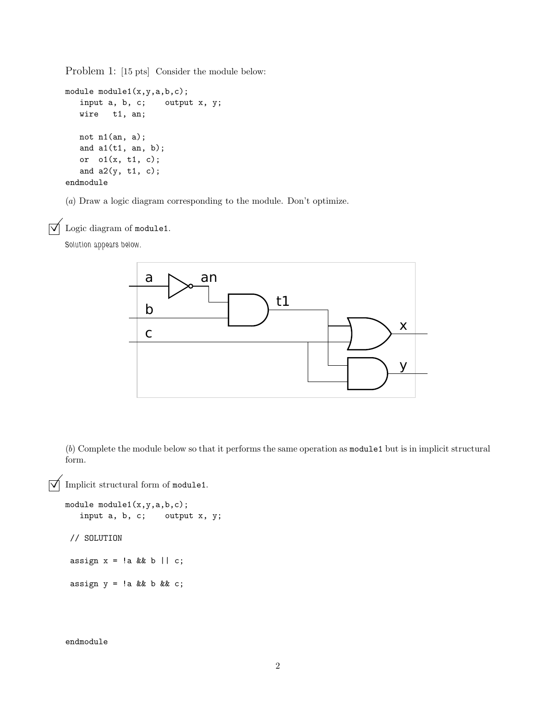Problem 1: [15 pts] Consider the module below:

```
module module1(x,y,a,b,c);
   input a, b, c; output x, y;
  wire t1, an;
  not n1(an, a);
   and a1(t1, an, b);
  or o1(x, t1, c);
  and a2(y, t1, c);
endmodule
```
(*a*) Draw a logic diagram corresponding to the module. Don't optimize.

 $\triangledown$  Logic diagram of module1.

*Solution appears below.*



(*b*) Complete the module below so that it performs the same operation as module1 but is in implicit structural form.

 $\triangledown$  Implicit structural form of module1.

```
module module1(x,y,a,b,c);
   input a, b, c; output x, y;
// SOLUTION
assign x = !a & b || c;
```
assign  $y = !a$  & & b & & c;

endmodule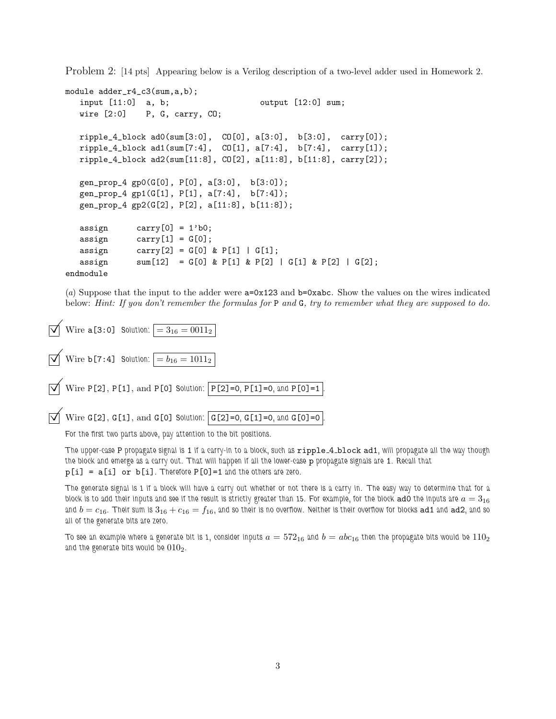Problem 2: [14 pts] Appearing below is a Verilog description of a two-level adder used in Homework 2.

```
module adder_r4_c3(sum,a,b);
  input [11:0] a, b; 			 output [12:0] sum;
  wire [2:0] P, G, carry, CO;
  ripple_4_block ad0(sum[3:0], CO[0], a[3:0], b[3:0], carry[0]);
  ripple_4_block ad1(sum[7:4], CO[1], a[7:4], b[7:4], carry[1]);
  ripple_4_block ad2(sum[11:8], CO[2], a[11:8], b[11:8], carry[2]);
  gen_prop_4 gp0(G[0], P[0], a[3:0], b[3:0]);
  gen_prop_4 gp1(G[1], P[1], a[7:4], b[7:4]);
  gen_prop_4 gp2(G[2], P[2], a[11:8], b[11:8]);
  assign carry[0] = 1'b0;assign carry[1] = G[0];assign carry [2] = G[0] & P[1] | G[1];
  assign sum[12] = G[0] & P[1] & P[2] | G[1] & P[2] | G[2];endmodule
```
(*a*) Suppose that the input to the adder were a=0x123 and b=0xabc. Show the values on the wires indicated below: *Hint: If you don't remember the formulas for* P *and* G*, try to remember what they are supposed to do.*

```
\vec{v} Wire a [3:0] Solution: = 3_{16} = 0011_2Wire b[7:4] Solution: b_{16} = b_{16} = 1011_2\triangledown Wire P[2], P[1], and P[0] Solution: \triangledown P[2]=0, P[1]=0, and P[0]=1
```

```
\overrightarrow{V} Wire G[2], G[1], and G[0] Solution: G[2] = 0, G[1]=0, and G[0]=0
```
*For the first two parts above, pay attention to the bit positions.*

*The upper-case* P *propagate signal is* 1 *if a carry-in to a block, such as* ripple 4 block ad1*, will propagate all the way though the block and emerge as a carry out. That will happen if all the lower-case* p *propagate signals are* 1*. Recall that* p[i] = a[i] or b[i]*. Therefore* P[0]=1 *and the others are zero.*

*The generate signal is 1 if a block will have a carry out whether or not there is a carry in. The easy way to determine that for a* block is to add their inputs and see if the result is strictly greater than 15. For example, for the block  $\text{ad}$  othe inputs are  $a = 3_{16}$ and  $b = c_{16}$ . Their sum is  $3_{16} + c_{16} = f_{16}$ , and so their is no overflow. Neither is their overflow for blocks ad1 and ad2, and so *all of the generate bits are zero.*

*To see an example where a generate bit is 1, consider inputs*  $a = 572_{16}$  and  $b = abc_{16}$  then the propagate bits would be  $110_2$ and the generate bits would be  $010<sub>2</sub>$ .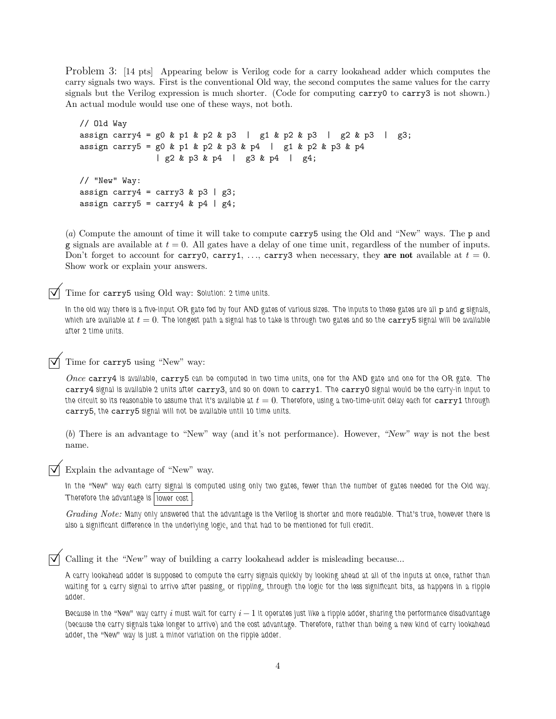Problem 3: [14 pts] Appearing below is Verilog code for a carry lookahead adder which computes the carry signals two ways. First is the conventional Old way, the second computes the same values for the carry signals but the Verilog expression is much shorter. (Code for computing carry0 to carry3 is not shown.) An actual module would use one of these ways, not both.

```
// Old Way
assign carry4 = g0 & p1 & p2 & p3 | g1 & p2 & p3 | g2 & p3 | g3;
assign carry5 = g0 & p1 & p2 & p3 & p4 | g1 & p2 & p3 & p4
               | g2 & p3 & p4 | g3 & p4 | g4;
// "New" Way:
assign carry4 = carry3 & p3 | g3;
assign carry5 = carry4 & p4 | g4;
```
(*a*) Compute the amount of time it will take to compute carry5 using the Old and "New" ways. The p and g signals are available at  $t = 0$ . All gates have a delay of one time unit, regardless of the number of inputs. Don't forget to account for carry0, carry1, ..., carry3 when necessary, they are not available at  $t = 0$ . Show work or explain your answers.

Time for carry5 using Old way: *Solution: 2 time units.*

*In the old way there is a five-input OR gate fed by four AND gates of various sizes. The inputs to these gates are all* p *and* g *signals, which are available at*  $t = 0$ . The longest path a signal has to take is through two gates and so the carry 5 signal will be available *after 2 time units.*

Time for carry5 using "New" way:

*Once* carry4 *is available,* carry5 *can be computed in two time units, one for the AND gate and one for the OR gate. The* carry4 *signal is available 2 units after* carry3*, and so on down to* carry1*. The* carry0 *signal would be the carry-in input to the circuit so its reasonable to assume that it's available at*  $t = 0$ *. Therefore, using a two-time-unit delay each for*  ${\tt carry1}$  *through* carry5*, the* carry5 *signal will not be available until 10 time units.*

(*b*) There is an advantage to "New" way (and it's not performance). However, "New" way is not the best name.

Explain the advantage of "New" way.

*In the "New" way each carry signal is computed using only two gates, fewer than the number of gates needed for the Old way. Therefore the advantage is lower cost .*

*Grading Note: Many only answered that the advantage is the Verilog is shorter and more readable. That's true, however there is also a significant difference in the underlying logic, and that had to be mentioned for full credit.*

Calling it the "New" way of building a carry lookahead adder is misleading because...

*A carry lookahead adder is supposed to compute the carry signals quickly by looking ahead at all of the inputs at once, rather than waiting for a carry signal to arrive after passing, or rippling, through the logic for the less significant bits, as happens in a ripple adder.*

*Because in the "New" way carry i must wait for carry i-1 it operates just like a ripple adder, sharing the performance disadvantage (because the carry signals take longer to arrive) and the cost advantage. Therefore, rather than being a new kind of carry lookahead adder, the "New" way is just a minor variation on the ripple adder.*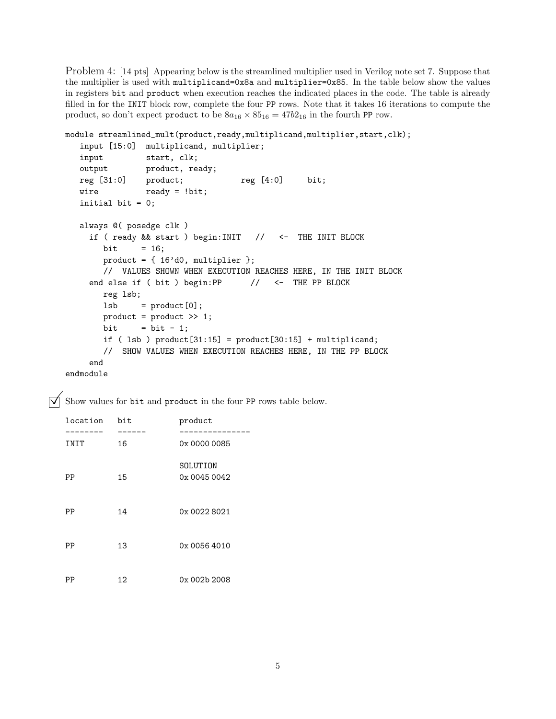Problem 4: [14 pts] Appearing below is the streamlined multiplier used in Verilog note set 7. Suppose that the multiplier is used with multiplicand=0x8a and multiplier=0x85. In the table below show the values in registers bit and product when execution reaches the indicated places in the code. The table is already filled in for the INIT block row, complete the four PP rows. Note that it takes 16 iterations to compute the product, so don't expect product to be  $8a_{16} \times 85_{16} = 47b_{16}$  in the fourth PP row.

```
module streamlined_mult(product,ready,multiplicand,multiplier,start,clk);
  input [15:0] multiplicand, multiplier;
  input start, clk;
  output product, ready;
  reg [31:0] product; <br> reg [4:0] bit;
  wire ready = !bit;
  initial bit = 0;
  always @( posedge clk )
    if ( ready && start ) begin:INIT // <- THE INIT BLOCK
       bit = 16;
       product = \{ 16' d0, multiplier \};// VALUES SHOWN WHEN EXECUTION REACHES HERE, IN THE INIT BLOCK
    end else if ( bit ) begin:PP // <- THE PP BLOCK
       reg lsb;
       lsb = product[0];product = product >> 1;
       bit = bit - 1;
       if ( lsb ) product[31:15] = product[30:15] + multiplicand;
       // SHOW VALUES WHEN EXECUTION REACHES HERE, IN THE PP BLOCK
    end
endmodule
```
 $\overrightarrow{\mathsf{M}}$  Show values for bit and product in the four PP rows table below.

| location | bit | product                  |  |  |  |  |  |  |
|----------|-----|--------------------------|--|--|--|--|--|--|
| INIT     | 16  | 0x 0000 0085             |  |  |  |  |  |  |
| PP       | 15  | SOLUTION<br>0x 0045 0042 |  |  |  |  |  |  |
| PP       | 14  | 0x 0022 8021             |  |  |  |  |  |  |
| PP       | 13  | 0x 0056 4010             |  |  |  |  |  |  |
| ΡP       | 12  | 0x 002b 2008             |  |  |  |  |  |  |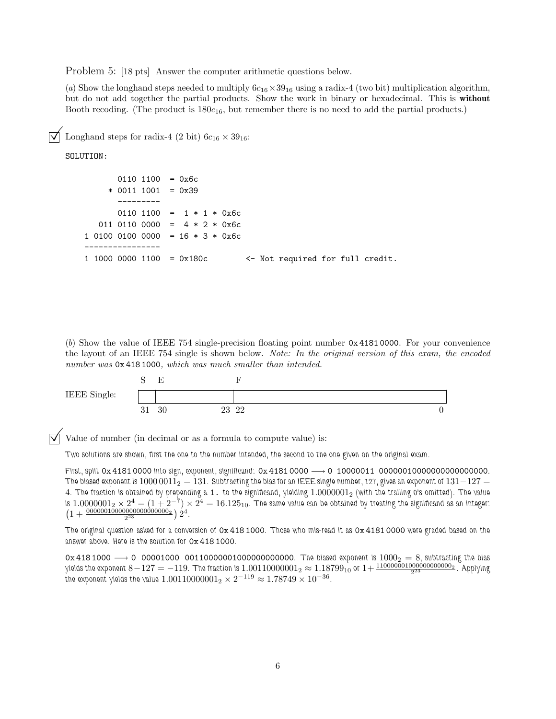Problem 5: [18 pts] Answer the computer arithmetic questions below.

(*a*) Show the longhand steps needed to multiply  $6c_{16} \times 39_{16}$  using a radix-4 (two bit) multiplication algorithm, but do not add together the partial products. Show the work in binary or hexadecimal. This is without Booth recoding. (The product is  $180c_{16}$ , but remember there is no need to add the partial products.)

Longhand steps for radix-4 (2 bit)  $6c_{16} \times 39_{16}$ :

SOLUTION:

```
0110 1100 = 0x6c* 0011 1001 = 0x39
      ---------
      0110 1100 = 1 * 1 * 0x6c011 0110 0000 = 4 * 2 * 0x6c1 0100 0100 0000 = 16 * 3 * 0x6c----------------
1 1000 0000 1100 = 0x180c <- Not required for full credit.
```
(*b*) Show the value of IEEE 754 single-precision floating point number 0x 4181 0000. For your convenience the layout of an IEEE 754 single is shown below. *Note: In the original version of this exam, the encoded number was* 0x 418 1000*, which was much smaller than intended.*



Value of number (in decimal or as a formula to compute value) is:

*Two solutions are shown, first the one to the number intended, the second to the one given on the original exam.*

*First, split* 0x 4181 0000 *into sign, exponent, significand:* 0x 4181 0000 −→ 0 10000011 00000010000000000000000*. The biased exponent is* 1000 0011 $_2$  = 131. Subtracting the bias for an IEEE single number, 127, gives an exponent of 131 $-127$  = 4*. The fraction is obtained by prepending a* 1. *to the significand, yielding* 1.0000001<sup>2</sup> *(with the trailing 0's omitted). The value* is  $1.0000001_2\times 2^4=(1+2^{-7})\times 2^4=16.125_{10}$ . The same value can be obtained by treating the significand as an integer:  $\left(1+\frac{00000010000000000000000}{2^{23}}\right)2^4$ .

*The original question asked for a conversion of* 0x 418 1000*. Those who mis-read it as* 0x 4181 0000 *were graded based on the answer above. Here is the solution for* 0x 418 1000*.*

0x 418 1000 −→ 0 00001000 00110000001000000000000*. The biased exponent is* 1000<sup>2</sup> = 8*, subtracting the bias* yields the exponent 8 $-127=-119$ . The fraction is  $1.00110000001_2\approx1.18799_{10}$  or  $1+\frac{1100000010000000000002}{{2^{23}}}$ . Applying  $\tilde{t}$ he exponent yields the value  $1.00110000001_2\times 2^{-119} \approx 1.78749\times 10^{-36}.$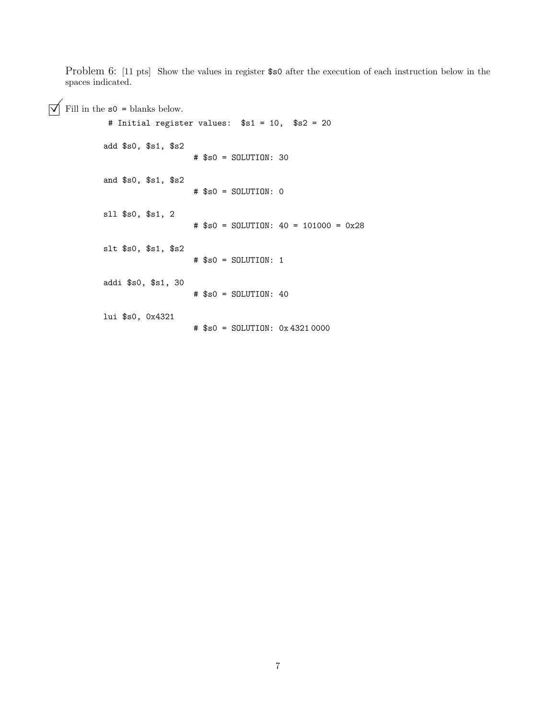Problem 6: [11 pts] Show the values in register \$s0 after the execution of each instruction below in the spaces indicated.

 $\boxed{\bigvee}$  Fill in the  $\verb|s0=$  blanks below.

| # Initial register values: \$s1 = 10, \$s2 = 20 |  |  |                                         |  |  |  |
|-------------------------------------------------|--|--|-----------------------------------------|--|--|--|
| add $$s0, $s1, $s2$                             |  |  | $#$ \$s0 = SOLUTION: 30                 |  |  |  |
| and \$s0, \$s1, \$s2                            |  |  | $#$ \$s0 = SOLUTION: 0                  |  |  |  |
| sll \$s0, \$s1, 2                               |  |  | $#$ \$s0 = SOLUTION: 40 = 101000 = 0x28 |  |  |  |
| slt \$s0, \$s1, \$s2                            |  |  | $#$ \$s0 = SOLUTION: 1                  |  |  |  |
| addi \$s0, \$s1, 30                             |  |  | $#$ \$s0 = SOLUTION: 40                 |  |  |  |
| lui \$s0, 0x4321                                |  |  | # \$s0 = SOLUTION: 0x43210000           |  |  |  |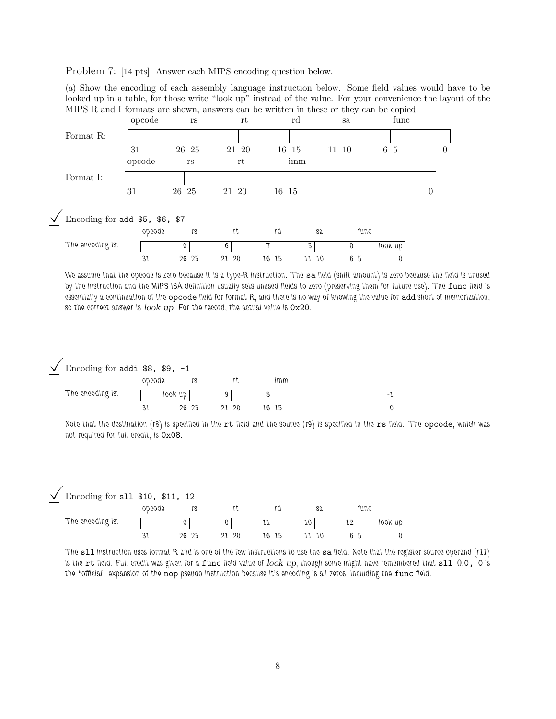Problem 7: [14 pts] Answer each MIPS encoding question below.

(*a*) Show the encoding of each assembly language instruction below. Some field values would have to be looked up in a table, for those write "look up" instead of the value. For your convenience the layout of the MIPS R and I formats are shown, answers can be written in these or they can be copied.



*We assume that the opcode is zero because it is a type-R instruction. The* sa *field (shift amount) is zero because the field is unused* by the instruction and the MIPS ISA definition usually sets unused fields to zero (preserving them for future use). The func field is *essentially a continuation of the* opcode *field for format R, and there is no way of knowing the value for* add *short of memorization, so the correct answer is* look up*. For the record, the actual value is* 0x20*.*

| Encoding for addi $$8, $9, -1$<br>ΙVΙ |        |         |       |       |   |
|---------------------------------------|--------|---------|-------|-------|---|
|                                       | opcode |         |       | imm   |   |
| The encoding is:                      |        | look up |       |       | - |
|                                       | 31     | 26 25   | 21 20 | 16 15 |   |

*Note that the destination (r8) is specified in the rt field and the source (r9) is specified in the rs field. The opcode, which was not required for full credit, is* 0x08*.*

## Encoding for sll \$10, \$11, 12

|                  | opcode |       |     |    |     |    |    | S2 |           | une* |         |
|------------------|--------|-------|-----|----|-----|----|----|----|-----------|------|---------|
| The encoding is: |        |       |     |    | . . |    | 10 |    | 10.<br>ᅩᅩ |      | look up |
|                  |        | 26 25 | ົາ1 | 20 | 16  | 15 |    | 10 |           | 'n   |         |

*The* sll *instruction uses format R and is one of the few instructions to use the* sa *field. Note that the register source operand (r11) is the* rt *field. Full credit was given for a* func *field value of* look up*, though some might have remembered that* sll 0,0, 0 *is the "official" expansion of the* nop *pseudo instruction because it's encoding is all zeros, including the* func *field.*